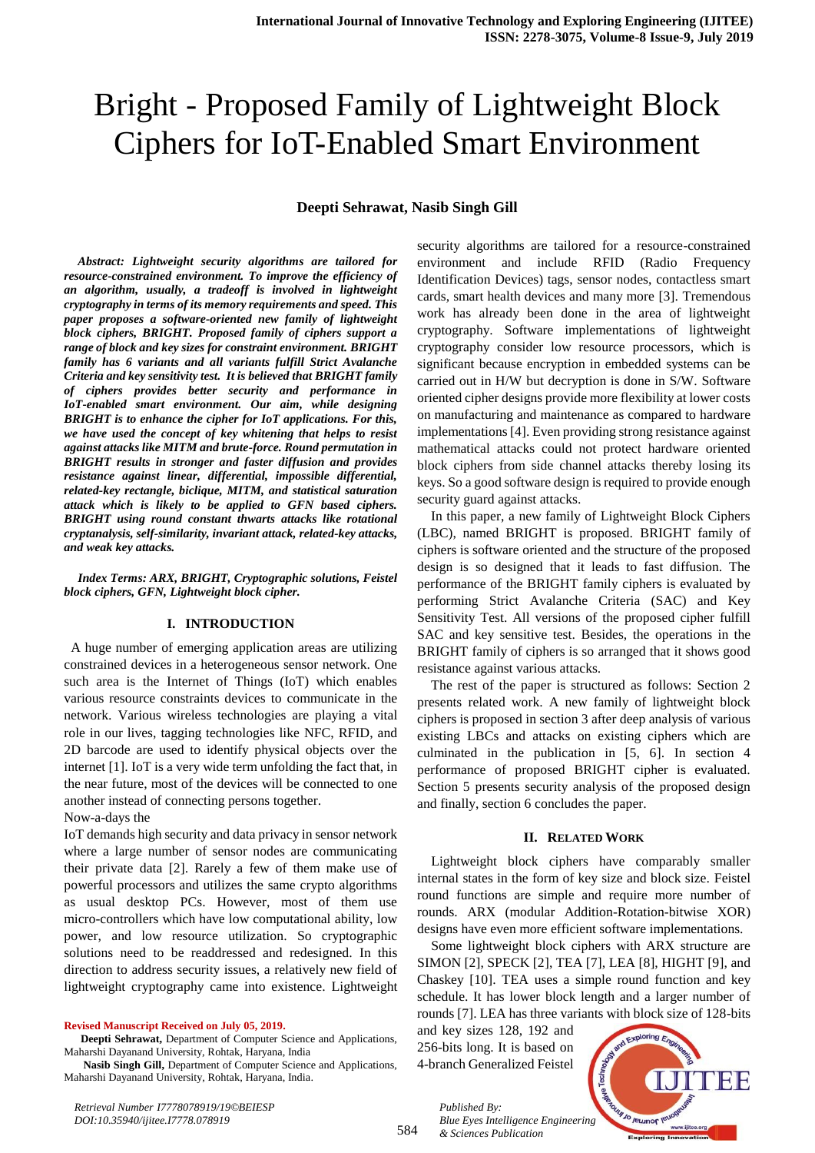# Bright - Proposed Family of Lightweight Block Ciphers for IoT-Enabled Smart Environment

# **Deepti Sehrawat, Nasib Singh Gill**

*Abstract: Lightweight security algorithms are tailored for resource-constrained environment. To improve the efficiency of an algorithm, usually, a tradeoff is involved in lightweight cryptography in terms of its memory requirements and speed. This paper proposes a software-oriented new family of lightweight block ciphers, BRIGHT. Proposed family of ciphers support a range of block and key sizes for constraint environment. BRIGHT family has 6 variants and all variants fulfill Strict Avalanche Criteria and key sensitivity test. It is believed that BRIGHT family of ciphers provides better security and performance in IoT-enabled smart environment. Our aim, while designing BRIGHT is to enhance the cipher for IoT applications. For this, we have used the concept of key whitening that helps to resist against attacks like MITM and brute-force. Round permutation in BRIGHT results in stronger and faster diffusion and provides resistance against linear, differential, impossible differential, related-key rectangle, biclique, MITM, and statistical saturation attack which is likely to be applied to GFN based ciphers. BRIGHT using round constant thwarts attacks like rotational cryptanalysis, self-similarity, invariant attack, related-key attacks, and weak key attacks.*

*Index Terms: ARX, BRIGHT, Cryptographic solutions, Feistel block ciphers, GFN, Lightweight block cipher.* 

#### **I. INTRODUCTION**

 A huge number of emerging application areas are utilizing constrained devices in a heterogeneous sensor network. One such area is the Internet of Things (IoT) which enables various resource constraints devices to communicate in the network. Various wireless technologies are playing a vital role in our lives, tagging technologies like NFC, RFID, and 2D barcode are used to identify physical objects over the internet [1]. IoT is a very wide term unfolding the fact that, in the near future, most of the devices will be connected to one another instead of connecting persons together.

#### Now-a-days the

IoT demands high security and data privacy in sensor network where a large number of sensor nodes are communicating their private data [2]. Rarely a few of them make use of powerful processors and utilizes the same crypto algorithms as usual desktop PCs. However, most of them use micro-controllers which have low computational ability, low power, and low resource utilization. So cryptographic solutions need to be readdressed and redesigned. In this direction to address security issues, a relatively new field of lightweight cryptography came into existence. Lightweight

**Revised Manuscript Received on July 05, 2019.**

 **Nasib Singh Gill,** Department of Computer Science and Applications, Maharshi Dayanand University, Rohtak, Haryana, India.

security algorithms are tailored for a resource-constrained environment and include RFID (Radio Frequency Identification Devices) tags, sensor nodes, contactless smart cards, smart health devices and many more [3]. Tremendous work has already been done in the area of lightweight cryptography. Software implementations of lightweight cryptography consider low resource processors, which is significant because encryption in embedded systems can be carried out in H/W but decryption is done in S/W. Software oriented cipher designs provide more flexibility at lower costs on manufacturing and maintenance as compared to hardware implementations[4]. Even providing strong resistance against mathematical attacks could not protect hardware oriented block ciphers from side channel attacks thereby losing its keys. So a good software design is required to provide enough security guard against attacks.

In this paper, a new family of Lightweight Block Ciphers (LBC), named BRIGHT is proposed. BRIGHT family of ciphers is software oriented and the structure of the proposed design is so designed that it leads to fast diffusion. The performance of the BRIGHT family ciphers is evaluated by performing Strict Avalanche Criteria (SAC) and Key Sensitivity Test. All versions of the proposed cipher fulfill SAC and key sensitive test. Besides, the operations in the BRIGHT family of ciphers is so arranged that it shows good resistance against various attacks.

The rest of the paper is structured as follows: Section 2 presents related work. A new family of lightweight block ciphers is proposed in section 3 after deep analysis of various existing LBCs and attacks on existing ciphers which are culminated in the publication in [5, 6]. In section 4 performance of proposed BRIGHT cipher is evaluated. Section 5 presents security analysis of the proposed design and finally, section 6 concludes the paper.

#### **II. RELATED WORK**

Lightweight block ciphers have comparably smaller internal states in the form of key size and block size. Feistel round functions are simple and require more number of rounds. ARX (modular Addition-Rotation-bitwise XOR) designs have even more efficient software implementations.

Some lightweight block ciphers with ARX structure are SIMON [2], SPECK [2], TEA [7], LEA [8], HIGHT [9], and Chaskey [10]. TEA uses a simple round function and key schedule. It has lower block length and a larger number of rounds [7]. LEA has three variants with block size of 128-bits

and key sizes 128, 192 and 256-bits long. It is based on 4-branch Generalized Feistel



584 *Published By: Blue Eyes Intelligence Engineering & Sciences Publication* 

**Deepti Sehrawat,** Department of Computer Science and Applications, Maharshi Dayanand University, Rohtak, Haryana, India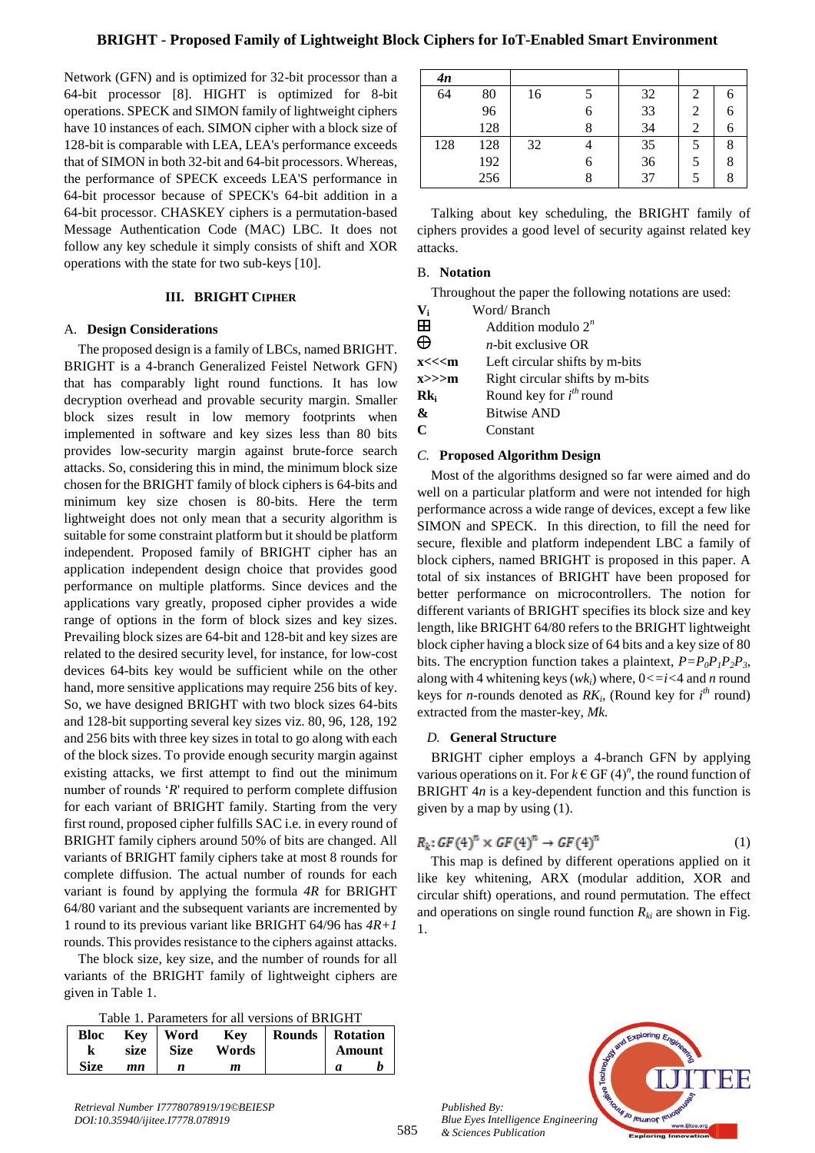Network (GFN) and is optimized for 32-bit processor than a 64-bit processor [8]. HIGHT is optimized for 8-bit operations. SPECK and SIMON family of lightweight ciphers have 10 instances of each. SIMON cipher with a block size of 128-bit is comparable with LEA, LEA's performance exceeds that of SIMON in both 32-bit and 64-bit processors. Whereas, the performance of SPECK exceeds LEA'S performance in 64-bit processor because of SPECK's 64-bit addition in a 64-bit processor. CHASKEY ciphers is a permutation-based Message Authentication Code (MAC) LBC. It does not follow any key schedule it simply consists of shift and XOR operations with the state for two sub-keys [10].

# **III. BRIGHT CIPHER**

#### A. **Design Considerations**

The proposed design is a family of LBCs, named BRIGHT. BRIGHT is a 4-branch Generalized Feistel Network GFN) that has comparably light round functions. It has low decryption overhead and provable security margin. Smaller block sizes result in low memory footprints when implemented in software and key sizes less than 80 bits provides low-security margin against brute-force search attacks. So, considering this in mind, the minimum block size chosen for the BRIGHT family of block ciphers is 64-bits and minimum key size chosen is 80-bits. Here the term lightweight does not only mean that a security algorithm is suitable for some constraint platform but it should be platform independent. Proposed family of BRIGHT cipher has an application independent design choice that provides good performance on multiple platforms. Since devices and the applications vary greatly, proposed cipher provides a wide range of options in the form of block sizes and key sizes. Prevailing block sizes are 64-bit and 128-bit and key sizes are related to the desired security level, for instance, for low-cost devices 64-bits key would be sufficient while on the other hand, more sensitive applications may require 256 bits of key. So, we have designed BRIGHT with two block sizes 64-bits and 128-bit supporting several key sizes viz. 80, 96, 128, 192 and 256 bits with three key sizes in total to go along with each of the block sizes. To provide enough security margin against existing attacks, we first attempt to find out the minimum number of rounds '*R*' required to perform complete diffusion for each variant of BRIGHT family. Starting from the very first round, proposed cipher fulfills SAC i.e. in every round of BRIGHT family ciphers around 50% of bits are changed. All variants of BRIGHT family ciphers take at most 8 rounds for complete diffusion. The actual number of rounds for each variant is found by applying the formula *4R* for BRIGHT 64/80 variant and the subsequent variants are incremented by 1 round to its previous variant like BRIGHT 64/96 has *4R+1* rounds. This provides resistance to the ciphers against attacks.

The block size, key size, and the number of rounds for all variants of the BRIGHT family of lightweight ciphers are given in Table 1.

|  |  |  |  | Table 1. Parameters for all versions of BRIGHT |
|--|--|--|--|------------------------------------------------|
|--|--|--|--|------------------------------------------------|

|             | 1 acie 1, 1 analitecto for all Tengrollo of Division 1 |          |       |                          |  |        |  |  |  |  |  |  |
|-------------|--------------------------------------------------------|----------|-------|--------------------------|--|--------|--|--|--|--|--|--|
| Bloc        |                                                        | Key Word | Kev   | <b>Rounds</b>   Rotation |  |        |  |  |  |  |  |  |
|             | size                                                   | Size     | Words |                          |  | Amount |  |  |  |  |  |  |
| <b>Size</b> | mn                                                     |          | m     |                          |  |        |  |  |  |  |  |  |

| 4n  |     |    |   |    |   |
|-----|-----|----|---|----|---|
| 64  | 80  | 16 |   | 32 |   |
|     | 96  |    | 6 | 33 | h |
|     | 128 |    |   | 34 | n |
| 128 | 128 | 32 |   | 35 | 8 |
|     | 192 |    | 6 | 36 | 8 |
|     | 256 |    |   | 37 |   |

Talking about key scheduling, the BRIGHT family of ciphers provides a good level of security against related key attacks.

#### B. **Notation**

Throughout the paper the following notations are used:

| V,       | Word/Branch                     |
|----------|---------------------------------|
| Æ        | Addition modulo $2^n$           |
| ക        | $n$ -hit exclusive OR           |
| $x<<<$ m | Left circular shifts by m-bits  |
| x>>>m    | Right circular shifts by m-bits |
| $Rk_i$   | Round key for $i^{th}$ round    |
| &        | <b>Bitwise AND</b>              |
| C        | Constant                        |

#### *C.* **Proposed Algorithm Design**

Most of the algorithms designed so far were aimed and do well on a particular platform and were not intended for high performance across a wide range of devices, except a few like SIMON and SPECK. In this direction, to fill the need for secure, flexible and platform independent LBC a family of block ciphers, named BRIGHT is proposed in this paper. A total of six instances of BRIGHT have been proposed for better performance on microcontrollers. The notion for different variants of BRIGHT specifies its block size and key length, like BRIGHT 64/80 refers to the BRIGHT lightweight block cipher having a block size of 64 bits and a key size of 80 bits. The encryption function takes a plaintext,  $P = P_0 P_1 P_2 P_3$ , along with 4 whitening keys (*wki*) where, 0*<=i<*4 and *n* round keys for *n*-rounds denoted as  $RK_i$ , (Round key for  $i^{th}$  round) extracted from the master-key, *Mk.*

## *D.* **General Structure**

BRIGHT cipher employs a 4-branch GFN by applying various operations on it. For  $k \in$  GF  $(4)^n$ , the round function of BRIGHT 4*n* is a key-dependent function and this function is given by a map by using (1).

$$
R_k: GF(4)^n \times GF(4)^n \to GF(4)^n \tag{1}
$$

This map is defined by different operations applied on it like key whitening, ARX (modular addition, XOR and circular shift) operations, and round permutation. The effect and operations on single round function  $R_{ki}$  are shown in Fig. 1.



*Retrieval Number I7778078919/19©BEIESP DOI:10.35940/ijitee.I7778.078919*

*Published By:*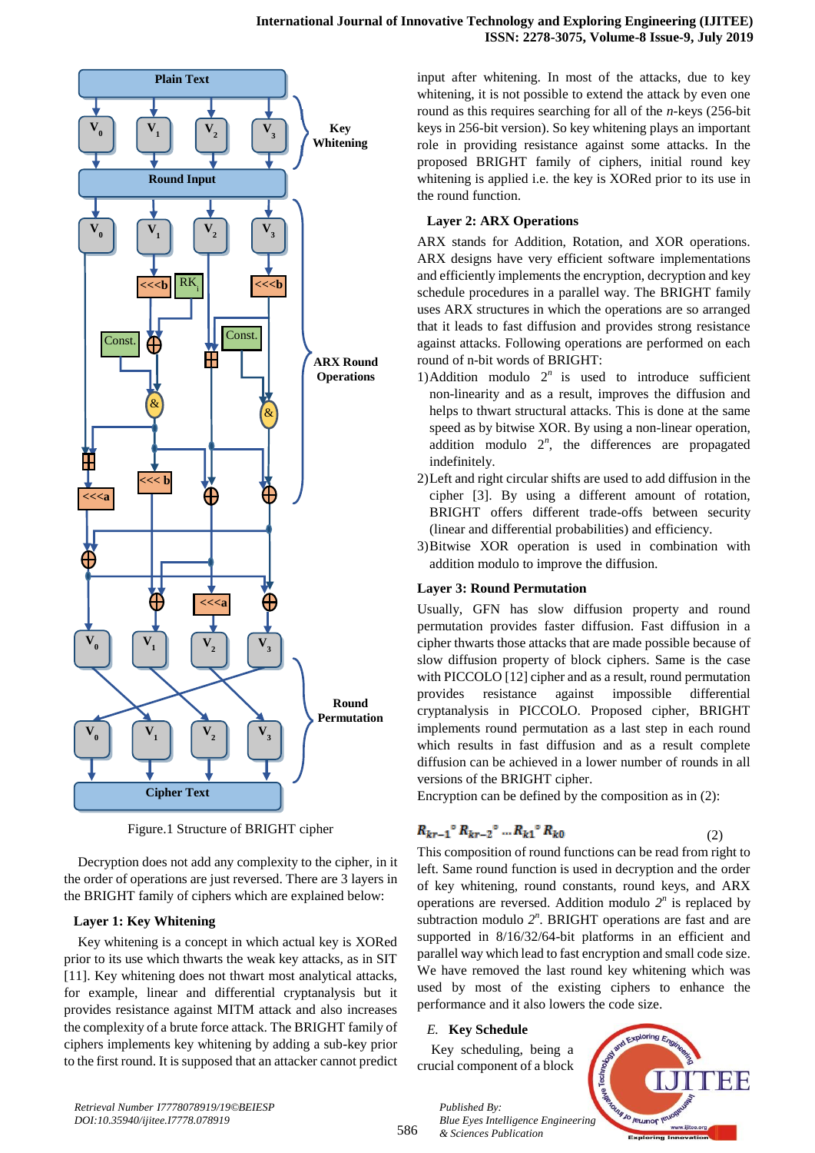

Figure.1 Structure of BRIGHT cipher

Decryption does not add any complexity to the cipher, in it the order of operations are just reversed. There are 3 layers in the BRIGHT family of ciphers which are explained below:

## **Layer 1: Key Whitening**

Key whitening is a concept in which actual key is XORed prior to its use which thwarts the weak key attacks, as in SIT [11]. Key whitening does not thwart most analytical attacks, for example, linear and differential cryptanalysis but it provides resistance against MITM attack and also increases the complexity of a brute force attack. The BRIGHT family of ciphers implements key whitening by adding a sub-key prior to the first round. It is supposed that an attacker cannot predict input after whitening. In most of the attacks, due to key whitening, it is not possible to extend the attack by even one round as this requires searching for all of the *n-*keys (256-bit keys in 256-bit version). So key whitening plays an important role in providing resistance against some attacks. In the proposed BRIGHT family of ciphers, initial round key whitening is applied i.e. the key is XORed prior to its use in the round function.

## **Layer 2: ARX Operations**

ARX stands for Addition, Rotation, and XOR operations. ARX designs have very efficient software implementations and efficiently implements the encryption, decryption and key schedule procedures in a parallel way. The BRIGHT family uses ARX structures in which the operations are so arranged that it leads to fast diffusion and provides strong resistance against attacks. Following operations are performed on each round of n-bit words of BRIGHT:

- 1)Addition modulo  $2^n$  is used to introduce sufficient non-linearity and as a result, improves the diffusion and helps to thwart structural attacks. This is done at the same speed as by bitwise XOR. By using a non-linear operation, addition modulo  $2^n$ , the differences are propagated indefinitely.
- 2)Left and right circular shifts are used to add diffusion in the cipher [3]. By using a different amount of rotation, BRIGHT offers different trade-offs between security (linear and differential probabilities) and efficiency*.*
- 3)Bitwise XOR operation is used in combination with addition modulo to improve the diffusion.

## **Layer 3: Round Permutation**

Usually, GFN has slow diffusion property and round permutation provides faster diffusion. Fast diffusion in a cipher thwarts those attacks that are made possible because of slow diffusion property of block ciphers. Same is the case with PICCOLO [12] cipher and as a result, round permutation provides resistance against impossible differential cryptanalysis in PICCOLO. Proposed cipher, BRIGHT implements round permutation as a last step in each round which results in fast diffusion and as a result complete diffusion can be achieved in a lower number of rounds in all versions of the BRIGHT cipher.

Encryption can be defined by the composition as in (2):

$$
R_{kr-1}^{\circ} R_{kr-2}^{\circ} \dots R_{k1}^{\circ} R_{k0}
$$

This composition of round functions can be read from right to left. Same round function is used in decryption and the order of key whitening, round constants, round keys, and ARX operations are reversed. Addition modulo  $2^n$  is replaced by subtraction modulo  $2^n$ . BRIGHT operations are fast and are supported in  $8/16/32/64$ -bit platforms in an efficient and parallel way which lead to fast encryption and small code size. We have removed the last round key whitening which was used by most of the existing ciphers to enhance the performance and it also lowers the code size.

## *E.* **Key Schedule**

*Published By:*

Key scheduling, being a crucial component of a block

*& Sciences Publication* 



(2)

*Retrieval Number I7778078919/19©BEIESP DOI:10.35940/ijitee.I7778.078919*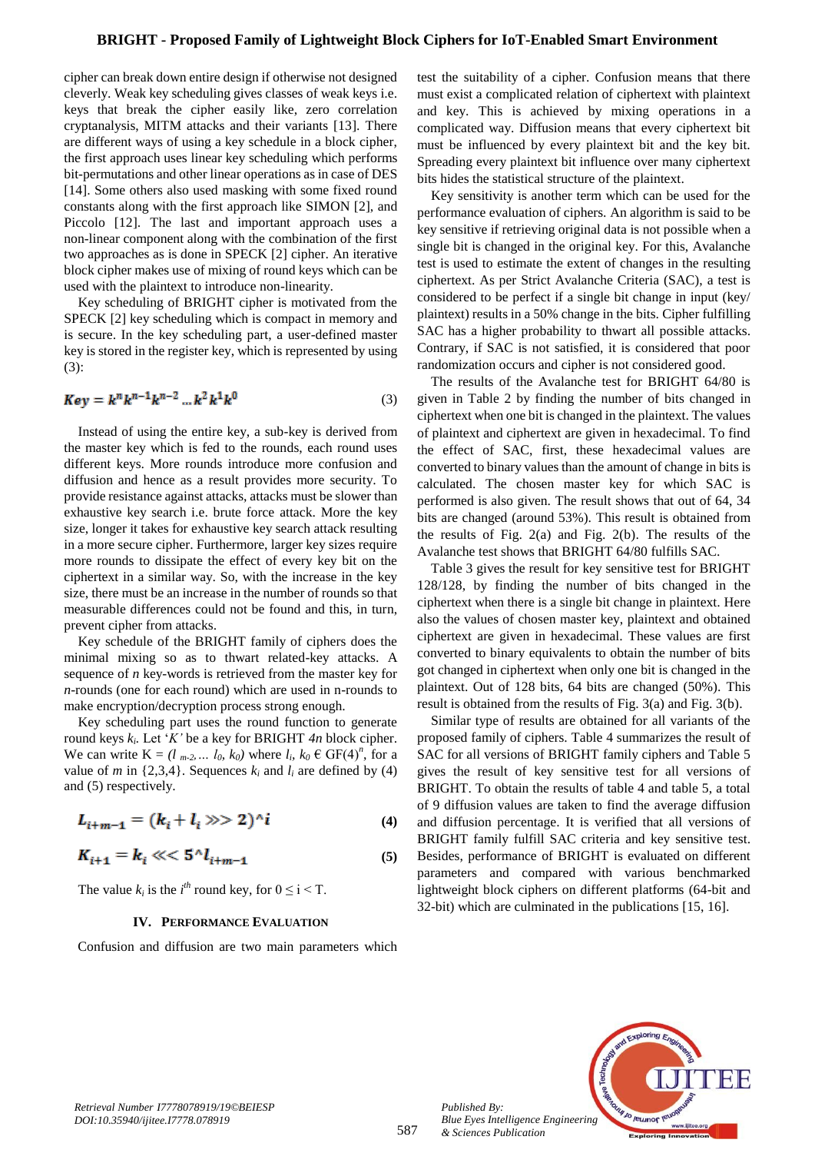#### **BRIGHT - Proposed Family of Lightweight Block Ciphers for IoT-Enabled Smart Environment**

cipher can break down entire design if otherwise not designed cleverly. Weak key scheduling gives classes of weak keys i.e. keys that break the cipher easily like, zero correlation cryptanalysis, MITM attacks and their variants [13]. There are different ways of using a key schedule in a block cipher, the first approach uses linear key scheduling which performs bit-permutations and other linear operations as in case of DES [14]. Some others also used masking with some fixed round constants along with the first approach like SIMON [2], and Piccolo [12]. The last and important approach uses a non-linear component along with the combination of the first two approaches as is done in SPECK [2] cipher. An iterative block cipher makes use of mixing of round keys which can be used with the plaintext to introduce non-linearity.

Key scheduling of BRIGHT cipher is motivated from the SPECK [2] key scheduling which is compact in memory and is secure. In the key scheduling part, a user-defined master key is stored in the register key, which is represented by using (3):

$$
Key = k^n k^{n-1} k^{n-2} \dots k^2 k^1 k^0
$$
 (3)

Instead of using the entire key, a sub-key is derived from the master key which is fed to the rounds, each round uses different keys. More rounds introduce more confusion and diffusion and hence as a result provides more security. To provide resistance against attacks, attacks must be slower than exhaustive key search i.e. brute force attack. More the key size, longer it takes for exhaustive key search attack resulting in a more secure cipher. Furthermore, larger key sizes require more rounds to dissipate the effect of every key bit on the ciphertext in a similar way. So, with the increase in the key size, there must be an increase in the number of rounds so that measurable differences could not be found and this, in turn, prevent cipher from attacks.

Key schedule of the BRIGHT family of ciphers does the minimal mixing so as to thwart related-key attacks. A sequence of *n* key-words is retrieved from the master key for *n*-rounds (one for each round) which are used in n-rounds to make encryption/decryption process strong enough.

Key scheduling part uses the round function to generate round keys *k<sup>i</sup> .* Let '*K'* be a key for BRIGHT *4n* block cipher. We can write  $K = (l_{m-2}, \ldots l_0, k_0)$  where  $l_i, k_0 \in \text{GF}(4)^n$ , for a value of *m* in {2,3,4}. Sequences  $k_i$  and  $l_i$  are defined by (4) and (5) respectively.

$$
L_{i+m-1} = (k_i + l_i \gg 2)^\wedge i \tag{4}
$$

$$
K_{i+1} = k_i \ll \frac{5}{l_{i+m-1}} \tag{5}
$$

The value  $k_i$  is the  $i^{th}$  round key, for  $0 \le i \le T$ .

#### **IV. PERFORMANCE EVALUATION**

Confusion and diffusion are two main parameters which

test the suitability of a cipher. Confusion means that there must exist a complicated relation of ciphertext with plaintext and key. This is achieved by mixing operations in a complicated way. Diffusion means that every ciphertext bit must be influenced by every plaintext bit and the key bit. Spreading every plaintext bit influence over many ciphertext bits hides the statistical structure of the plaintext.

Key sensitivity is another term which can be used for the performance evaluation of ciphers. An algorithm is said to be key sensitive if retrieving original data is not possible when a single bit is changed in the original key. For this, Avalanche test is used to estimate the extent of changes in the resulting ciphertext. As per Strict Avalanche Criteria (SAC), a test is considered to be perfect if a single bit change in input (key/ plaintext) results in a 50% change in the bits. Cipher fulfilling SAC has a higher probability to thwart all possible attacks. Contrary, if SAC is not satisfied, it is considered that poor randomization occurs and cipher is not considered good.

The results of the Avalanche test for BRIGHT 64/80 is given in Table 2 by finding the number of bits changed in ciphertext when one bit is changed in the plaintext. The values of plaintext and ciphertext are given in hexadecimal. To find the effect of SAC, first, these hexadecimal values are converted to binary values than the amount of change in bits is calculated. The chosen master key for which SAC is performed is also given. The result shows that out of 64, 34 bits are changed (around 53%). This result is obtained from the results of Fig. 2(a) and Fig. 2(b). The results of the Avalanche test shows that BRIGHT 64/80 fulfills SAC.

Table 3 gives the result for key sensitive test for BRIGHT 128/128, by finding the number of bits changed in the ciphertext when there is a single bit change in plaintext. Here also the values of chosen master key, plaintext and obtained ciphertext are given in hexadecimal. These values are first converted to binary equivalents to obtain the number of bits got changed in ciphertext when only one bit is changed in the plaintext. Out of 128 bits, 64 bits are changed (50%). This result is obtained from the results of Fig. 3(a) and Fig. 3(b).

Similar type of results are obtained for all variants of the proposed family of ciphers. Table 4 summarizes the result of SAC for all versions of BRIGHT family ciphers and Table 5 gives the result of key sensitive test for all versions of BRIGHT. To obtain the results of table 4 and table 5, a total of 9 diffusion values are taken to find the average diffusion and diffusion percentage. It is verified that all versions of BRIGHT family fulfill SAC criteria and key sensitive test. Besides, performance of BRIGHT is evaluated on different parameters and compared with various benchmarked lightweight block ciphers on different platforms (64-bit and 32-bit) which are culminated in the publications [15, 16].



*Published By:*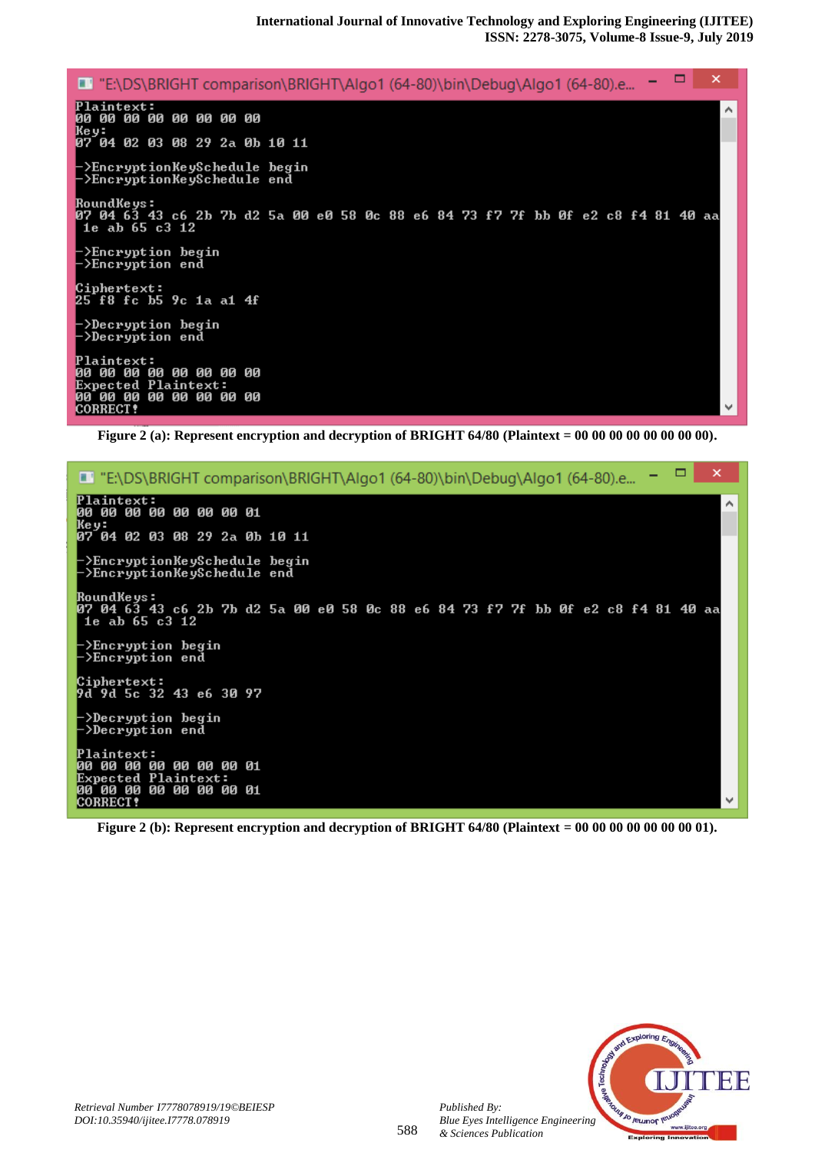

**Figure 2 (a): Represent encryption and decryption of BRIGHT 64/80 (Plaintext = 00 00 00 00 00 00 00 00).**

| - 0<br>×<br>-<br>E' "E:\DS\BRIGHT comparison\BRIGHT\Algo1 (64-80)\bin\Debug\Algo1 (64-80).e                                                                                                                                                                                                                                                                                                                                                                                       |   |
|-----------------------------------------------------------------------------------------------------------------------------------------------------------------------------------------------------------------------------------------------------------------------------------------------------------------------------------------------------------------------------------------------------------------------------------------------------------------------------------|---|
| Plaintext:<br>00 00 00 00 00 00 00 01<br>Ke y:                                                                                                                                                                                                                                                                                                                                                                                                                                    | ́ |
| 07 04 02 03 08 29 2a 0b 10 11                                                                                                                                                                                                                                                                                                                                                                                                                                                     |   |
| ->EncryptionKeySchedule begin_<br>->EncryptionKeySchedule end                                                                                                                                                                                                                                                                                                                                                                                                                     |   |
| RoundKe ys :<br>07 04 63 43 c6 2b 7b d2 5a 00 e0 58 0c 88 e6 84 73 f7 7f bb 0f e2 c8 f4 81 40 aa<br>1e ab 65 c3 12                                                                                                                                                                                                                                                                                                                                                                |   |
| $\rightarrow$ Encryption begin<br>->Encryption end                                                                                                                                                                                                                                                                                                                                                                                                                                |   |
| Ciphertext:<br>9d 9d 5c 32 43 e6 30 97                                                                                                                                                                                                                                                                                                                                                                                                                                            |   |
| $\mathord{\hspace{1pt}\text{--}\hspace{1pt}}$ $\mathord{\hspace{1pt}\text{--}\hspace{1pt}}$ $\mathord{\hspace{1pt}\text{--}\hspace{1pt}}$ $\mathord{\hspace{1pt}\text{--}\hspace{1pt}}$ $\mathord{\hspace{1pt}\text{--}\hspace{1pt}}$ $\mathord{\hspace{1pt}\text{--}\hspace{1pt}}$ $\mathord{\hspace{1pt}\text{--}\hspace{1pt}}$ $\mathord{\hspace{1pt}\text{--}\hspace{1pt}}$ $\mathord{\hspace{1pt}\text{--}\hspace{1pt}}$ $\mathord{\hspace{1pt}\text{--$<br>->Decryption end |   |
| <b>Plaintext:</b><br>00 00<br>00 00 00 00 01<br>ии<br><b>Expected Plaintext:</b>                                                                                                                                                                                                                                                                                                                                                                                                  |   |
| 00 00 00 00 00 00 00 01<br><b>CORRECT!</b>                                                                                                                                                                                                                                                                                                                                                                                                                                        |   |

**Figure 2 (b): Represent encryption and decryption of BRIGHT 64/80 (Plaintext = 00 00 00 00 00 00 00 01).**



*Published By:*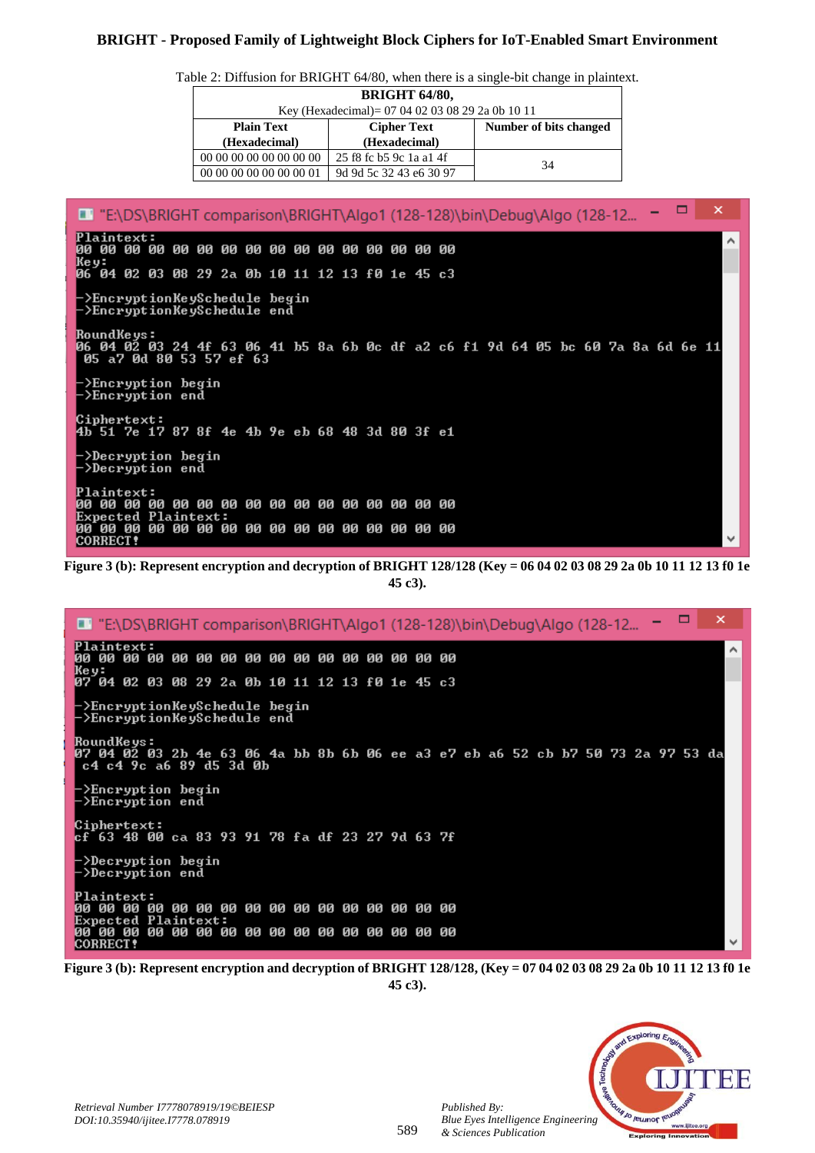# **BRIGHT - Proposed Family of Lightweight Block Ciphers for IoT-Enabled Smart Environment**

Table 2: Diffusion for BRIGHT 64/80, when there is a single-bit change in plaintext.

| <b>BRIGHT 64/80,</b>                             |                         |    |  |  |  |  |  |  |  |  |
|--------------------------------------------------|-------------------------|----|--|--|--|--|--|--|--|--|
| Key (Hexadecimal)= 07 04 02 03 08 29 2a 0b 10 11 |                         |    |  |  |  |  |  |  |  |  |
| <b>Plain Text</b>                                | Number of bits changed  |    |  |  |  |  |  |  |  |  |
| (Hexadecimal)                                    | (Hexadecimal)           |    |  |  |  |  |  |  |  |  |
| 00 00 00 00 00 00 00 00                          | 25 f8 fc b5 9c 1a a1 4f | 34 |  |  |  |  |  |  |  |  |
| 00 00 00 00 00 00 00 01                          | 9d 9d 5c 32 43 e6 30 97 |    |  |  |  |  |  |  |  |  |

 $\boldsymbol{\times}$ . E "E:\DS\BRIGHT comparison\BRIGHT\Algo1 (128-128)\bin\Debug\Algo (128-12... = **Plaintext:** ۸ Key: 06 04 02 03 08 29 2a 0b 10 11 12 13 f0 1e 45 c3 .<br>·>EncryptionKeySchedule begin<br>·>EncryptionKeySchedule end RoundKeys:<br>06 04 02 03 24 4f 63 06 41 b5 8a 6b 0c df a2 c6 f1 9d 64 05 bc 60 7a 8a 6d 6e 11<br>| 05 a7 0d 80 53 57 ef 63 >Encryption begin ->Encryption end >Decryption begin >Decryption end **CORRECT?** 

**Figure 3 (b): Represent encryption and decryption of BRIGHT 128/128 (Key = 06 04 02 03 08 29 2a 0b 10 11 12 13 f0 1e 45 c3).**

|      |                 |                                                                                                                                  |             |    |    |             |                 |  |       |    |    |    |    | ■ "E:\DS\BRIGHT comparison\BRIGHT\Algo1 (128-128)\bin\Debug\Algo (128-12 =        |  |  |  |  |  | × |  |
|------|-----------------|----------------------------------------------------------------------------------------------------------------------------------|-------------|----|----|-------------|-----------------|--|-------|----|----|----|----|-----------------------------------------------------------------------------------|--|--|--|--|--|---|--|
| 00   | АА АА           | <b>Plaintext:</b>                                                                                                                | 00          | ии | 00 | 00 00 00 00 |                 |  | 00 00 |    | ЙЙ | ии | ии | ии                                                                                |  |  |  |  |  |   |  |
| Key: |                 | 07 04 02 03 08 29 2a 0b 10 11 12 13 f0 1e 45 c3                                                                                  |             |    |    |             |                 |  |       |    |    |    |    |                                                                                   |  |  |  |  |  |   |  |
|      |                 | ->EncryptionKeySchedule begin_<br>->EncryptionKeySchedule end_                                                                   |             |    |    |             |                 |  |       |    |    |    |    |                                                                                   |  |  |  |  |  |   |  |
|      |                 | RoundKeys :<br>c4 c4 9c a6 89 d5 3d 0b                                                                                           |             |    |    |             |                 |  |       |    |    |    |    | 107 04 02 03 2b 4e 63 06 4a bb 8b 6b 06 ee a3 e7 eb a6 52 cb b7 50 73 2a 97 53 da |  |  |  |  |  |   |  |
|      |                 | ├>Encryption begin<br>⊢>Encryption end                                                                                           |             |    |    |             |                 |  |       |    |    |    |    |                                                                                   |  |  |  |  |  |   |  |
|      |                 | Ciphertext:<br>lcf 63 48 00 ca 83 93 91 78 fa df 23 27 9d 63 7f                                                                  |             |    |    |             |                 |  |       |    |    |    |    |                                                                                   |  |  |  |  |  |   |  |
|      |                 | $\mathord{\hspace{1pt}\text{--}\hspace{1pt}}$ $\mathord{\hspace{1pt}\text{--}\hspace{1pt}}$ Decryption begin<br>->Decryption end |             |    |    |             |                 |  |       |    |    |    |    |                                                                                   |  |  |  |  |  |   |  |
| ии   | 00 00           | <b>Plaintext:</b><br><b>Expected Plaintext:</b>                                                                                  |             |    |    |             |                 |  |       |    |    |    |    |                                                                                   |  |  |  |  |  |   |  |
| ии   | <b>CORRECT!</b> | 00 00                                                                                                                            | 00 00 00 00 |    |    |             | <b>00 00 00</b> |  | 00    | 00 | 00 | 00 | ØЙ | ии                                                                                |  |  |  |  |  |   |  |

**Figure 3 (b): Represent encryption and decryption of BRIGHT 128/128, (Key = 07 04 02 03 08 29 2a 0b 10 11 12 13 f0 1e 45 c3).**



*Published By:*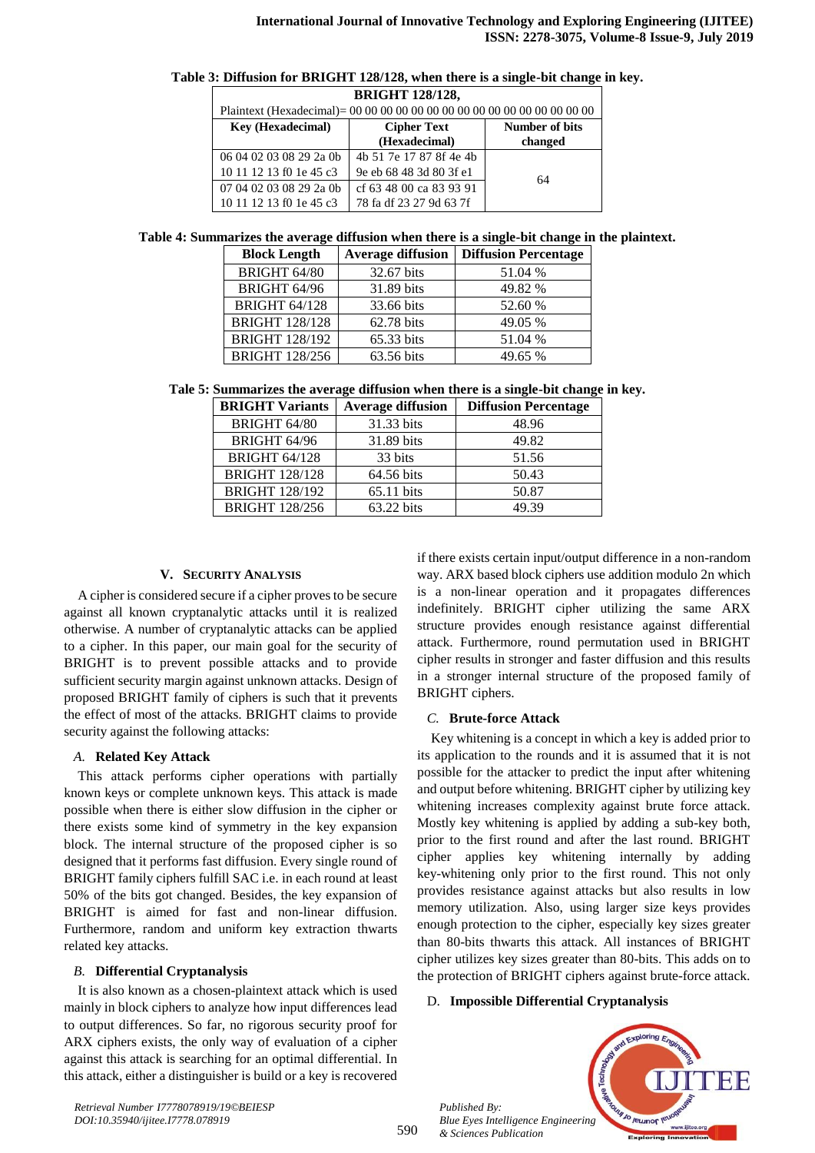|  | Table 3: Diffusion for BRIGHT 128/128, when there is a single-bit change in key. |  |  |  |
|--|----------------------------------------------------------------------------------|--|--|--|
|  |                                                                                  |  |  |  |

| <b>BRIGHT 128/128,</b>   |                         |                |  |  |  |  |  |  |  |  |  |
|--------------------------|-------------------------|----------------|--|--|--|--|--|--|--|--|--|
|                          |                         |                |  |  |  |  |  |  |  |  |  |
| <b>Key (Hexadecimal)</b> | <b>Cipher Text</b>      | Number of bits |  |  |  |  |  |  |  |  |  |
|                          | (Hexadecimal)           | changed        |  |  |  |  |  |  |  |  |  |
| 06 04 02 03 08 29 2a 0b  | 4b 51 7e 17 87 8f 4e 4b |                |  |  |  |  |  |  |  |  |  |
| 10 11 12 13 f0 1e 45 c3  | 9e eb 68 48 3d 80 3f e1 | 64             |  |  |  |  |  |  |  |  |  |
| 07 04 02 03 08 29 2a 0b  | cf 63 48 00 ca 83 93 91 |                |  |  |  |  |  |  |  |  |  |
| 10 11 12 13 f0 1e 45 c3  | 78 fa df 23 27 9d 63 7f |                |  |  |  |  |  |  |  |  |  |

#### **Table 4: Summarizes the average diffusion when there is a single-bit change in the plaintext.**

| <b>Block Length</b>   | <b>Average diffusion</b> | <b>Diffusion Percentage</b> |
|-----------------------|--------------------------|-----------------------------|
| BRIGHT 64/80          | 32.67 bits               | 51.04 %                     |
| BRIGHT 64/96          | 31.89 bits               | 49.82 %                     |
| <b>BRIGHT 64/128</b>  | 33.66 bits               | 52.60 %                     |
| <b>BRIGHT 128/128</b> | 62.78 bits               | 49.05 %                     |
| <b>BRIGHT 128/192</b> | 65.33 bits               | 51.04 %                     |
| <b>BRIGHT 128/256</b> | 63.56 bits               | 49.65 %                     |

**Tale 5: Summarizes the average diffusion when there is a single-bit change in key.**

| <b>BRIGHT Variants</b> | <b>Average diffusion</b> | <b>Diffusion Percentage</b> |
|------------------------|--------------------------|-----------------------------|
| <b>BRIGHT 64/80</b>    | 31.33 bits               | 48.96                       |
| BRIGHT 64/96           | 31.89 bits               | 49.82                       |
| <b>BRIGHT 64/128</b>   | 33 bits                  | 51.56                       |
| <b>BRIGHT 128/128</b>  | 64.56 bits               | 50.43                       |
| <b>BRIGHT 128/192</b>  | 65.11 bits               | 50.87                       |
| <b>BRIGHT 128/256</b>  | 63.22 bits               | 49.39                       |

## **V. SECURITY ANALYSIS**

A cipher is considered secure if a cipher proves to be secure against all known cryptanalytic attacks until it is realized otherwise. A number of cryptanalytic attacks can be applied to a cipher. In this paper, our main goal for the security of BRIGHT is to prevent possible attacks and to provide sufficient security margin against unknown attacks. Design of proposed BRIGHT family of ciphers is such that it prevents the effect of most of the attacks. BRIGHT claims to provide security against the following attacks:

## *A.* **Related Key Attack**

This attack performs cipher operations with partially known keys or complete unknown keys. This attack is made possible when there is either slow diffusion in the cipher or there exists some kind of symmetry in the key expansion block. The internal structure of the proposed cipher is so designed that it performs fast diffusion. Every single round of BRIGHT family ciphers fulfill SAC i.e. in each round at least 50% of the bits got changed. Besides, the key expansion of BRIGHT is aimed for fast and non-linear diffusion. Furthermore, random and uniform key extraction thwarts related key attacks.

## *B.* **Differential Cryptanalysis**

It is also known as a chosen-plaintext attack which is used mainly in block ciphers to analyze how input differences lead to output differences. So far, no rigorous security proof for ARX ciphers exists, the only way of evaluation of a cipher against this attack is searching for an optimal differential. In this attack, either a distinguisher is build or a key is recovered if there exists certain input/output difference in a non-random way. ARX based block ciphers use addition modulo 2n which is a non-linear operation and it propagates differences indefinitely. BRIGHT cipher utilizing the same ARX structure provides enough resistance against differential attack. Furthermore, round permutation used in BRIGHT cipher results in stronger and faster diffusion and this results in a stronger internal structure of the proposed family of BRIGHT ciphers.

## *C.* **Brute-force Attack**

Key whitening is a concept in which a key is added prior to its application to the rounds and it is assumed that it is not possible for the attacker to predict the input after whitening and output before whitening. BRIGHT cipher by utilizing key whitening increases complexity against brute force attack. Mostly key whitening is applied by adding a sub-key both, prior to the first round and after the last round. BRIGHT cipher applies key whitening internally by adding key-whitening only prior to the first round. This not only provides resistance against attacks but also results in low memory utilization. Also, using larger size keys provides enough protection to the cipher, especially key sizes greater than 80-bits thwarts this attack. All instances of BRIGHT cipher utilizes key sizes greater than 80-bits. This adds on to the protection of BRIGHT ciphers against brute-force attack.

## D. **Impossible Differential Cryptanalysis**

*Published By: Blue Eyes Intelligence Engineering & Sciences Publication* 

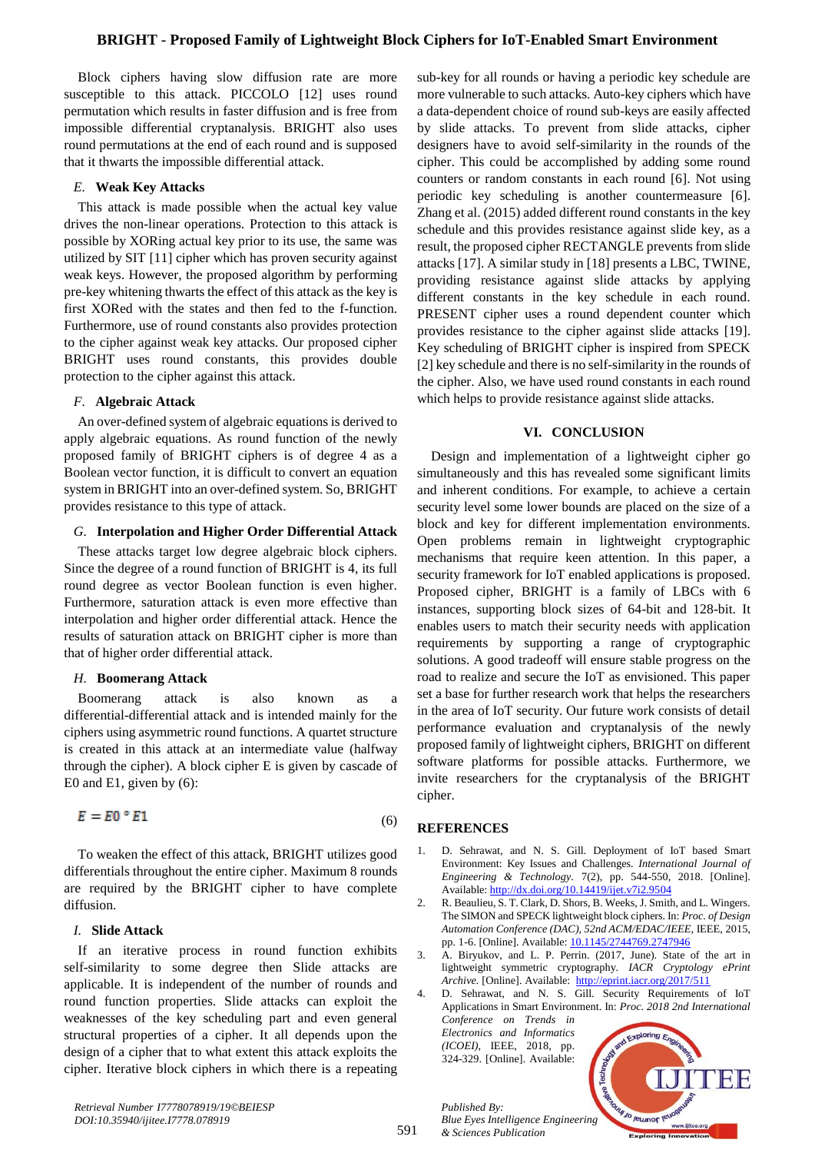# **BRIGHT - Proposed Family of Lightweight Block Ciphers for IoT-Enabled Smart Environment**

Block ciphers having slow diffusion rate are more susceptible to this attack. PICCOLO [12] uses round permutation which results in faster diffusion and is free from impossible differential cryptanalysis. BRIGHT also uses round permutations at the end of each round and is supposed that it thwarts the impossible differential attack.

#### *E.* **Weak Key Attacks**

This attack is made possible when the actual key value drives the non-linear operations. Protection to this attack is possible by XORing actual key prior to its use, the same was utilized by SIT [11] cipher which has proven security against weak keys. However, the proposed algorithm by performing pre-key whitening thwarts the effect of this attack as the key is first XORed with the states and then fed to the f-function. Furthermore, use of round constants also provides protection to the cipher against weak key attacks. Our proposed cipher BRIGHT uses round constants, this provides double protection to the cipher against this attack.

## *F.* **Algebraic Attack**

An over-defined system of algebraic equations is derived to apply algebraic equations. As round function of the newly proposed family of BRIGHT ciphers is of degree 4 as a Boolean vector function, it is difficult to convert an equation system in BRIGHT into an over-defined system. So, BRIGHT provides resistance to this type of attack.

# *G.* **Interpolation and Higher Order Differential Attack**

These attacks target low degree algebraic block ciphers. Since the degree of a round function of BRIGHT is 4, its full round degree as vector Boolean function is even higher. Furthermore, saturation attack is even more effective than interpolation and higher order differential attack. Hence the results of saturation attack on BRIGHT cipher is more than that of higher order differential attack.

## *H.* **Boomerang Attack**

Boomerang attack is also known as a differential-differential attack and is intended mainly for the ciphers using asymmetric round functions. A quartet structure is created in this attack at an intermediate value (halfway through the cipher). A block cipher E is given by cascade of E0 and E1, given by (6):

$$
E = E0 \circ E1 \tag{6}
$$

To weaken the effect of this attack, BRIGHT utilizes good differentials throughout the entire cipher. Maximum 8 rounds are required by the BRIGHT cipher to have complete diffusion.

## *I.* **Slide Attack**

If an iterative process in round function exhibits self-similarity to some degree then Slide attacks are applicable. It is independent of the number of rounds and round function properties. Slide attacks can exploit the weaknesses of the key scheduling part and even general structural properties of a cipher. It all depends upon the design of a cipher that to what extent this attack exploits the cipher. Iterative block ciphers in which there is a repeating

sub-key for all rounds or having a periodic key schedule are more vulnerable to such attacks. Auto-key ciphers which have a data-dependent choice of round sub-keys are easily affected by slide attacks. To prevent from slide attacks, cipher designers have to avoid self-similarity in the rounds of the cipher. This could be accomplished by adding some round counters or random constants in each round [6]. Not using periodic key scheduling is another countermeasure [6]. Zhang et al. (2015) added different round constants in the key schedule and this provides resistance against slide key, as a result, the proposed cipher RECTANGLE prevents from slide attacks [17]. A similar study in [18] presents a LBC, TWINE, providing resistance against slide attacks by applying different constants in the key schedule in each round. PRESENT cipher uses a round dependent counter which provides resistance to the cipher against slide attacks [19]. Key scheduling of BRIGHT cipher is inspired from SPECK [2] key schedule and there is no self-similarity in the rounds of the cipher. Also, we have used round constants in each round which helps to provide resistance against slide attacks.

## **VI. CONCLUSION**

Design and implementation of a lightweight cipher go simultaneously and this has revealed some significant limits and inherent conditions. For example, to achieve a certain security level some lower bounds are placed on the size of a block and key for different implementation environments. Open problems remain in lightweight cryptographic mechanisms that require keen attention. In this paper, a security framework for IoT enabled applications is proposed. Proposed cipher, BRIGHT is a family of LBCs with 6 instances, supporting block sizes of 64-bit and 128-bit. It enables users to match their security needs with application requirements by supporting a range of cryptographic solutions. A good tradeoff will ensure stable progress on the road to realize and secure the IoT as envisioned. This paper set a base for further research work that helps the researchers in the area of IoT security. Our future work consists of detail performance evaluation and cryptanalysis of the newly proposed family of lightweight ciphers, BRIGHT on different software platforms for possible attacks. Furthermore, we invite researchers for the cryptanalysis of the BRIGHT cipher.

## **REFERENCES**

- 1. D. Sehrawat, and N. S. Gill. Deployment of IoT based Smart Environment: Key Issues and Challenges. *International Journal of Engineering & Technology.* 7(2), pp. 544-550, 2018. [Online]. Available: <http://dx.doi.org/10.14419/ijet.v7i2.9504>
- 2. R. Beaulieu, S. T. Clark, D. Shors, B. Weeks, J. Smith, and L. Wingers. The SIMON and SPECK lightweight block ciphers. In: *Proc. of Design Automation Conference (DAC), 52nd ACM/EDAC/IEEE,* IEEE, 2015, pp. 1-6. [Online]. Available: [10.1145/2744769.2747946](http://eprint.iacr.org/2017/511%2010.1145/2744769.2747946)
- 3. A. Biryukov, and L. P. Perrin. (2017, June). State of the art in lightweight symmetric cryptography. *IACR Cryptology ePrint Archive.* [Online]. Available: <http://eprint.iacr.org/2017/511>
- 4. D. Sehrawat, and N. S. Gill. Security Requirements of IoT Applications in Smart Environment. In: *Proc. 2018 2nd International Conference on Trends in Electronics and Informatics*

*(ICOEI)*, IEEE, 2018, pp. 324-329. [Online]. Available:

*Published By:*

*& Sciences Publication* 



591